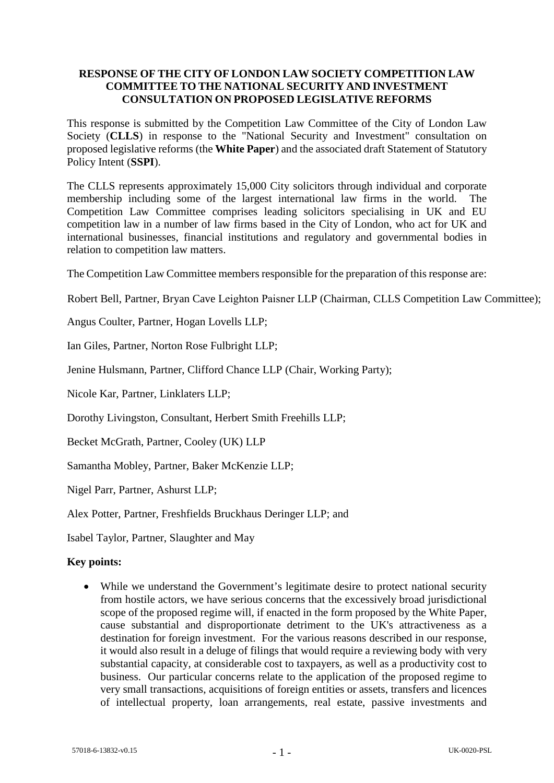## **RESPONSE OF THE CITY OF LONDON LAW SOCIETY COMPETITION LAW COMMITTEE TO THE NATIONAL SECURITY AND INVESTMENT CONSULTATION ON PROPOSED LEGISLATIVE REFORMS**

This response is submitted by the Competition Law Committee of the City of London Law Society (**CLLS**) in response to the "National Security and Investment" consultation on proposed legislative reforms (the **White Paper**) and the associated draft Statement of Statutory Policy Intent (**SSPI**).

The CLLS represents approximately 15,000 City solicitors through individual and corporate membership including some of the largest international law firms in the world. The Competition Law Committee comprises leading solicitors specialising in UK and EU competition law in a number of law firms based in the City of London, who act for UK and international businesses, financial institutions and regulatory and governmental bodies in relation to competition law matters.

The Competition Law Committee members responsible for the preparation of this response are:

Robert Bell, Partner, Bryan Cave Leighton Paisner LLP (Chairman, CLLS Competition Law Committee);

Angus Coulter, Partner, Hogan Lovells LLP;

Ian Giles, Partner, Norton Rose Fulbright LLP;

Jenine Hulsmann, Partner, Clifford Chance LLP (Chair, Working Party);

Nicole Kar, Partner, Linklaters LLP;

Dorothy Livingston, Consultant, Herbert Smith Freehills LLP;

Becket McGrath, Partner, Cooley (UK) LLP

Samantha Mobley, Partner, Baker McKenzie LLP;

Nigel Parr, Partner, Ashurst LLP;

Alex Potter, Partner, Freshfields Bruckhaus Deringer LLP; and

Isabel Taylor, Partner, Slaughter and May

#### **Key points:**

• While we understand the Government's legitimate desire to protect national security from hostile actors, we have serious concerns that the excessively broad jurisdictional scope of the proposed regime will, if enacted in the form proposed by the White Paper, cause substantial and disproportionate detriment to the UK's attractiveness as a destination for foreign investment. For the various reasons described in our response, it would also result in a deluge of filings that would require a reviewing body with very substantial capacity, at considerable cost to taxpayers, as well as a productivity cost to business. Our particular concerns relate to the application of the proposed regime to very small transactions, acquisitions of foreign entities or assets, transfers and licences of intellectual property, loan arrangements, real estate, passive investments and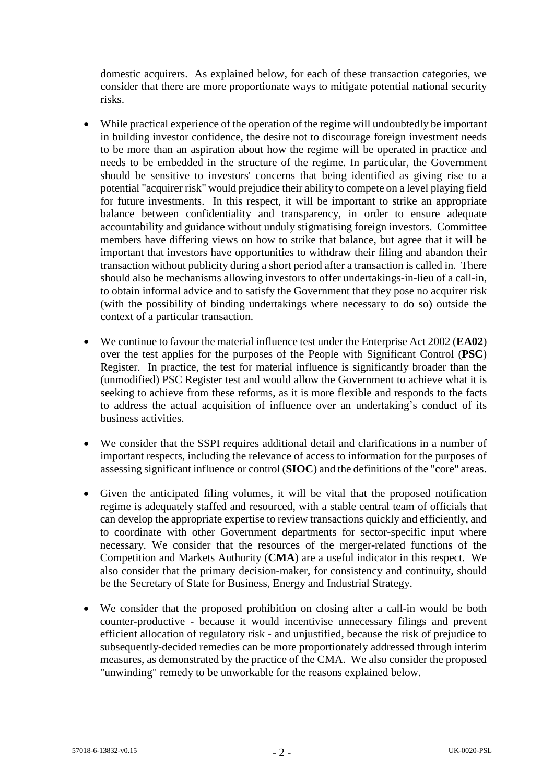domestic acquirers. As explained below, for each of these transaction categories, we consider that there are more proportionate ways to mitigate potential national security risks.

- While practical experience of the operation of the regime will undoubtedly be important in building investor confidence, the desire not to discourage foreign investment needs to be more than an aspiration about how the regime will be operated in practice and needs to be embedded in the structure of the regime. In particular, the Government should be sensitive to investors' concerns that being identified as giving rise to a potential "acquirer risk" would prejudice their ability to compete on a level playing field for future investments. In this respect, it will be important to strike an appropriate balance between confidentiality and transparency, in order to ensure adequate accountability and guidance without unduly stigmatising foreign investors. Committee members have differing views on how to strike that balance, but agree that it will be important that investors have opportunities to withdraw their filing and abandon their transaction without publicity during a short period after a transaction is called in. There should also be mechanisms allowing investors to offer undertakings-in-lieu of a call-in, to obtain informal advice and to satisfy the Government that they pose no acquirer risk (with the possibility of binding undertakings where necessary to do so) outside the context of a particular transaction.
- We continue to favour the material influence test under the Enterprise Act 2002 (**EA02**) over the test applies for the purposes of the People with Significant Control (**PSC**) Register. In practice, the test for material influence is significantly broader than the (unmodified) PSC Register test and would allow the Government to achieve what it is seeking to achieve from these reforms, as it is more flexible and responds to the facts to address the actual acquisition of influence over an undertaking's conduct of its business activities.
- We consider that the SSPI requires additional detail and clarifications in a number of important respects, including the relevance of access to information for the purposes of assessing significant influence or control (**SIOC**) and the definitions of the "core" areas.
- Given the anticipated filing volumes, it will be vital that the proposed notification regime is adequately staffed and resourced, with a stable central team of officials that can develop the appropriate expertise to review transactions quickly and efficiently, and to coordinate with other Government departments for sector-specific input where necessary. We consider that the resources of the merger-related functions of the Competition and Markets Authority (**CMA**) are a useful indicator in this respect. We also consider that the primary decision-maker, for consistency and continuity, should be the Secretary of State for Business, Energy and Industrial Strategy.
- We consider that the proposed prohibition on closing after a call-in would be both counter-productive - because it would incentivise unnecessary filings and prevent efficient allocation of regulatory risk - and unjustified, because the risk of prejudice to subsequently-decided remedies can be more proportionately addressed through interim measures, as demonstrated by the practice of the CMA. We also consider the proposed "unwinding" remedy to be unworkable for the reasons explained below.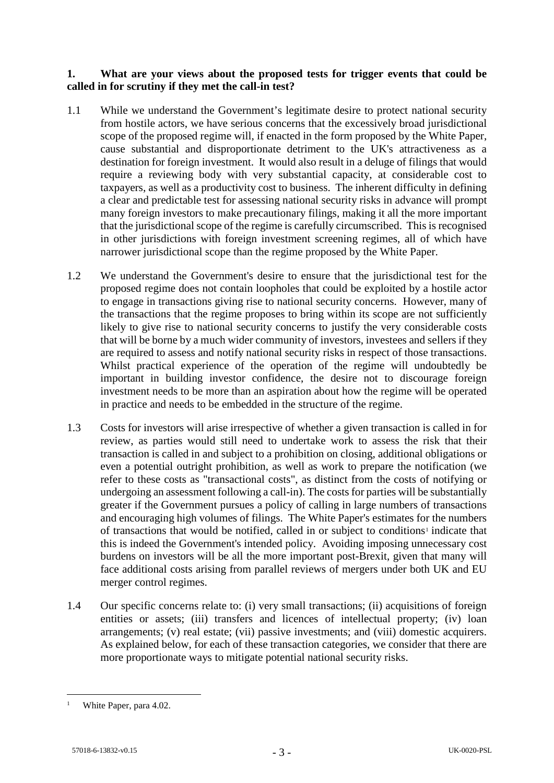### **1. What are your views about the proposed tests for trigger events that could be called in for scrutiny if they met the call-in test?**

- 1.1 While we understand the Government's legitimate desire to protect national security from hostile actors, we have serious concerns that the excessively broad jurisdictional scope of the proposed regime will, if enacted in the form proposed by the White Paper, cause substantial and disproportionate detriment to the UK's attractiveness as a destination for foreign investment. It would also result in a deluge of filings that would require a reviewing body with very substantial capacity, at considerable cost to taxpayers, as well as a productivity cost to business. The inherent difficulty in defining a clear and predictable test for assessing national security risks in advance will prompt many foreign investors to make precautionary filings, making it all the more important that the jurisdictional scope of the regime is carefully circumscribed. This is recognised in other jurisdictions with foreign investment screening regimes, all of which have narrower jurisdictional scope than the regime proposed by the White Paper.
- 1.2 We understand the Government's desire to ensure that the jurisdictional test for the proposed regime does not contain loopholes that could be exploited by a hostile actor to engage in transactions giving rise to national security concerns. However, many of the transactions that the regime proposes to bring within its scope are not sufficiently likely to give rise to national security concerns to justify the very considerable costs that will be borne by a much wider community of investors, investees and sellers if they are required to assess and notify national security risks in respect of those transactions. Whilst practical experience of the operation of the regime will undoubtedly be important in building investor confidence, the desire not to discourage foreign investment needs to be more than an aspiration about how the regime will be operated in practice and needs to be embedded in the structure of the regime.
- 1.3 Costs for investors will arise irrespective of whether a given transaction is called in for review, as parties would still need to undertake work to assess the risk that their transaction is called in and subject to a prohibition on closing, additional obligations or even a potential outright prohibition, as well as work to prepare the notification (we refer to these costs as "transactional costs", as distinct from the costs of notifying or undergoing an assessment following a call-in). The costs for parties will be substantially greater if the Government pursues a policy of calling in large numbers of transactions and encouraging high volumes of filings. The White Paper's estimates for the numbers of transactions that would be notified, called in or subject to conditions<sup>[1](#page-2-0)</sup> indicate that this is indeed the Government's intended policy. Avoiding imposing unnecessary cost burdens on investors will be all the more important post-Brexit, given that many will face additional costs arising from parallel reviews of mergers under both UK and EU merger control regimes.
- 1.4 Our specific concerns relate to: (i) very small transactions; (ii) acquisitions of foreign entities or assets; (iii) transfers and licences of intellectual property; (iv) loan arrangements; (v) real estate; (vii) passive investments; and (viii) domestic acquirers. As explained below, for each of these transaction categories, we consider that there are more proportionate ways to mitigate potential national security risks.

<span id="page-2-0"></span><sup>&</sup>lt;sup>1</sup> White Paper, para 4.02.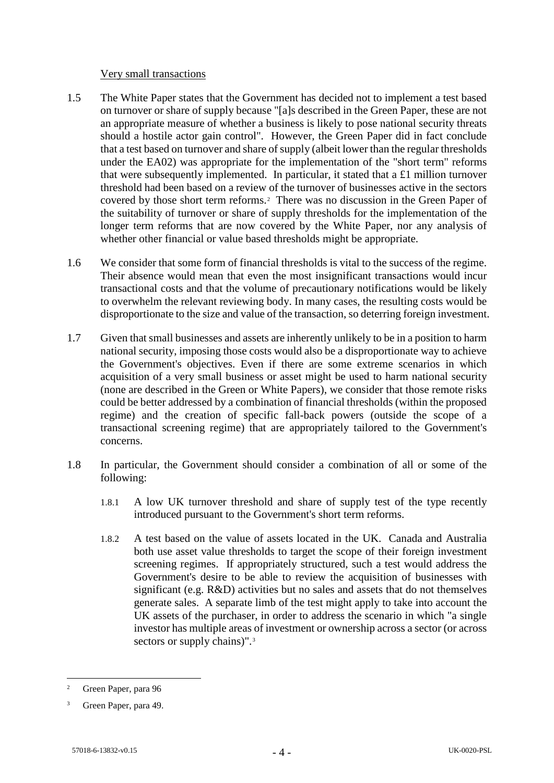#### Very small transactions

- 1.5 The White Paper states that the Government has decided not to implement a test based on turnover or share of supply because "[a]s described in the Green Paper, these are not an appropriate measure of whether a business is likely to pose national security threats should a hostile actor gain control". However, the Green Paper did in fact conclude that a test based on turnover and share of supply (albeit lower than the regular thresholds under the EA02) was appropriate for the implementation of the "short term" reforms that were subsequently implemented. In particular, it stated that a £1 million turnover threshold had been based on a review of the turnover of businesses active in the sectors covered by those short term reforms.[2](#page-3-0) There was no discussion in the Green Paper of the suitability of turnover or share of supply thresholds for the implementation of the longer term reforms that are now covered by the White Paper, nor any analysis of whether other financial or value based thresholds might be appropriate.
- 1.6 We consider that some form of financial thresholds is vital to the success of the regime. Their absence would mean that even the most insignificant transactions would incur transactional costs and that the volume of precautionary notifications would be likely to overwhelm the relevant reviewing body. In many cases, the resulting costs would be disproportionate to the size and value of the transaction, so deterring foreign investment.
- 1.7 Given that small businesses and assets are inherently unlikely to be in a position to harm national security, imposing those costs would also be a disproportionate way to achieve the Government's objectives. Even if there are some extreme scenarios in which acquisition of a very small business or asset might be used to harm national security (none are described in the Green or White Papers), we consider that those remote risks could be better addressed by a combination of financial thresholds (within the proposed regime) and the creation of specific fall-back powers (outside the scope of a transactional screening regime) that are appropriately tailored to the Government's concerns.
- 1.8 In particular, the Government should consider a combination of all or some of the following:
	- 1.8.1 A low UK turnover threshold and share of supply test of the type recently introduced pursuant to the Government's short term reforms.
	- 1.8.2 A test based on the value of assets located in the UK. Canada and Australia both use asset value thresholds to target the scope of their foreign investment screening regimes. If appropriately structured, such a test would address the Government's desire to be able to review the acquisition of businesses with significant (e.g. R&D) activities but no sales and assets that do not themselves generate sales. A separate limb of the test might apply to take into account the UK assets of the purchaser, in order to address the scenario in which "a single investor has multiple areas of investment or ownership across a sector (or across sectors or supply chains)".<sup>[3](#page-3-1)</sup>

<span id="page-3-0"></span> <sup>2</sup> Green Paper, para 96

<span id="page-3-1"></span>Green Paper, para 49.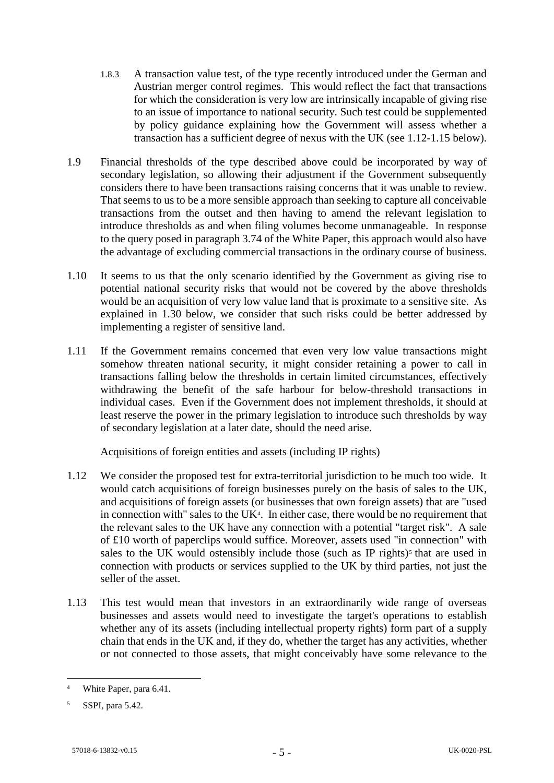- 1.8.3 A transaction value test, of the type recently introduced under the German and Austrian merger control regimes. This would reflect the fact that transactions for which the consideration is very low are intrinsically incapable of giving rise to an issue of importance to national security. Such test could be supplemented by policy guidance explaining how the Government will assess whether a transaction has a sufficient degree of nexus with the UK (see [1.12-](#page-4-0)[1.15](#page-5-0) below).
- 1.9 Financial thresholds of the type described above could be incorporated by way of secondary legislation, so allowing their adjustment if the Government subsequently considers there to have been transactions raising concerns that it was unable to review. That seems to us to be a more sensible approach than seeking to capture all conceivable transactions from the outset and then having to amend the relevant legislation to introduce thresholds as and when filing volumes become unmanageable. In response to the query posed in paragraph 3.74 of the White Paper, this approach would also have the advantage of excluding commercial transactions in the ordinary course of business.
- 1.10 It seems to us that the only scenario identified by the Government as giving rise to potential national security risks that would not be covered by the above thresholds would be an acquisition of very low value land that is proximate to a sensitive site. As explained in [1.30](#page-8-0) below, we consider that such risks could be better addressed by implementing a register of sensitive land.
- 1.11 If the Government remains concerned that even very low value transactions might somehow threaten national security, it might consider retaining a power to call in transactions falling below the thresholds in certain limited circumstances, effectively withdrawing the benefit of the safe harbour for below-threshold transactions in individual cases. Even if the Government does not implement thresholds, it should at least reserve the power in the primary legislation to introduce such thresholds by way of secondary legislation at a later date, should the need arise.

# Acquisitions of foreign entities and assets (including IP rights)

- <span id="page-4-0"></span>1.12 We consider the proposed test for extra-territorial jurisdiction to be much too wide. It would catch acquisitions of foreign businesses purely on the basis of sales to the UK, and acquisitions of foreign assets (or businesses that own foreign assets) that are "used in connection with" sales to the UK $4$ . In either case, there would be no requirement that the relevant sales to the UK have any connection with a potential "target risk". A sale of £10 worth of paperclips would suffice. Moreover, assets used "in connection" with sales to the UK would ostensibly include those (such as IP rights)<sup>[5](#page-4-2)</sup> that are used in connection with products or services supplied to the UK by third parties, not just the seller of the asset.
- 1.13 This test would mean that investors in an extraordinarily wide range of overseas businesses and assets would need to investigate the target's operations to establish whether any of its assets (including intellectual property rights) form part of a supply chain that ends in the UK and, if they do, whether the target has any activities, whether or not connected to those assets, that might conceivably have some relevance to the

<span id="page-4-1"></span>White Paper, para 6.41.

<span id="page-4-2"></span><sup>5</sup> SSPI, para 5.42.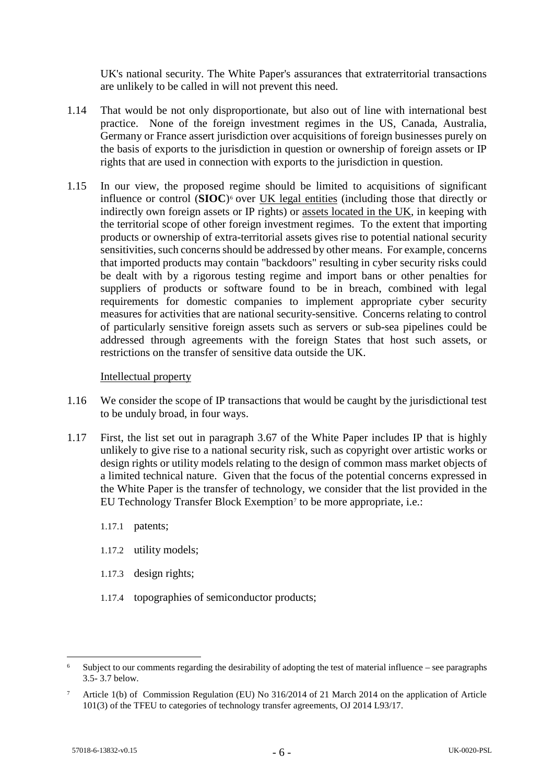UK's national security. The White Paper's assurances that extraterritorial transactions are unlikely to be called in will not prevent this need.

- 1.14 That would be not only disproportionate, but also out of line with international best practice. None of the foreign investment regimes in the US, Canada, Australia, Germany or France assert jurisdiction over acquisitions of foreign businesses purely on the basis of exports to the jurisdiction in question or ownership of foreign assets or IP rights that are used in connection with exports to the jurisdiction in question.
- <span id="page-5-0"></span>1.15 In our view, the proposed regime should be limited to acquisitions of significant influence or control (**SIOC**)[6](#page-5-1) over UK legal entities (including those that directly or indirectly own foreign assets or IP rights) or assets located in the UK, in keeping with the territorial scope of other foreign investment regimes. To the extent that importing products or ownership of extra-territorial assets gives rise to potential national security sensitivities, such concerns should be addressed by other means. For example, concerns that imported products may contain "backdoors" resulting in cyber security risks could be dealt with by a rigorous testing regime and import bans or other penalties for suppliers of products or software found to be in breach, combined with legal requirements for domestic companies to implement appropriate cyber security measures for activities that are national security-sensitive. Concerns relating to control of particularly sensitive foreign assets such as servers or sub-sea pipelines could be addressed through agreements with the foreign States that host such assets, or restrictions on the transfer of sensitive data outside the UK.

#### Intellectual property

- 1.16 We consider the scope of IP transactions that would be caught by the jurisdictional test to be unduly broad, in four ways.
- 1.17 First, the list set out in paragraph 3.67 of the White Paper includes IP that is highly unlikely to give rise to a national security risk, such as copyright over artistic works or design rights or utility models relating to the design of common mass market objects of a limited technical nature. Given that the focus of the potential concerns expressed in the White Paper is the transfer of technology, we consider that the list provided in the EU Technology Transfer Block Exemption<sup>[7](#page-5-2)</sup> to be more appropriate, i.e.:
	- 1.17.1 patents;
	- 1.17.2 utility models;
	- 1.17.3 design rights;
	- 1.17.4 topographies of semiconductor products;

<span id="page-5-1"></span><sup>&</sup>lt;sup>6</sup> Subject to our comments regarding the desirability of adopting the test of material influence – see paragraphs [3.5-](#page-12-0) [3.7](#page-13-0) below.

<span id="page-5-2"></span><sup>7</sup> Article 1(b) of Commission Regulation (EU) No 316/2014 of 21 March 2014 on the application of Article 101(3) of the TFEU to categories of technology transfer agreements, OJ 2014 L93/17.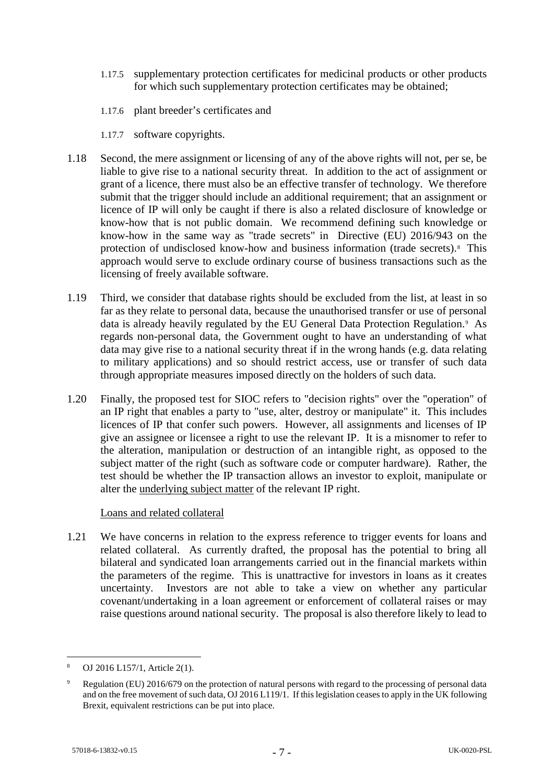- 1.17.5 supplementary protection certificates for medicinal products or other products for which such supplementary protection certificates may be obtained;
- 1.17.6 plant breeder's certificates and
- 1.17.7 software copyrights.
- 1.18 Second, the mere assignment or licensing of any of the above rights will not, per se, be liable to give rise to a national security threat. In addition to the act of assignment or grant of a licence, there must also be an effective transfer of technology. We therefore submit that the trigger should include an additional requirement; that an assignment or licence of IP will only be caught if there is also a related disclosure of knowledge or know-how that is not public domain. We recommend defining such knowledge or know-how in the same way as "trade secrets" in Directive (EU) 2016/943 on the protection of undisclosed know-how and business information (trade secrets).[8](#page-6-0) This approach would serve to exclude ordinary course of business transactions such as the licensing of freely available software.
- 1.19 Third, we consider that database rights should be excluded from the list, at least in so far as they relate to personal data, because the unauthorised transfer or use of personal data is already heavily regulated by the EU General Data Protection Regulation.[9](#page-6-1) As regards non-personal data, the Government ought to have an understanding of what data may give rise to a national security threat if in the wrong hands (e.g. data relating to military applications) and so should restrict access, use or transfer of such data through appropriate measures imposed directly on the holders of such data.
- 1.20 Finally, the proposed test for SIOC refers to "decision rights" over the "operation" of an IP right that enables a party to "use, alter, destroy or manipulate" it. This includes licences of IP that confer such powers. However, all assignments and licenses of IP give an assignee or licensee a right to use the relevant IP. It is a misnomer to refer to the alteration, manipulation or destruction of an intangible right, as opposed to the subject matter of the right (such as software code or computer hardware). Rather, the test should be whether the IP transaction allows an investor to exploit, manipulate or alter the underlying subject matter of the relevant IP right.

# Loans and related collateral

1.21 We have concerns in relation to the express reference to trigger events for loans and related collateral. As currently drafted, the proposal has the potential to bring all bilateral and syndicated loan arrangements carried out in the financial markets within the parameters of the regime. This is unattractive for investors in loans as it creates uncertainty. Investors are not able to take a view on whether any particular covenant/undertaking in a loan agreement or enforcement of collateral raises or may raise questions around national security. The proposal is also therefore likely to lead to

<span id="page-6-0"></span> <sup>8</sup> OJ 2016 L157/1, Article 2(1).

<span id="page-6-1"></span><sup>9</sup> Regulation (EU) 2016/679 on the protection of natural persons with regard to the processing of personal data and on the free movement of such data, OJ 2016 L119/1. If this legislation ceases to apply in the UK following Brexit, equivalent restrictions can be put into place.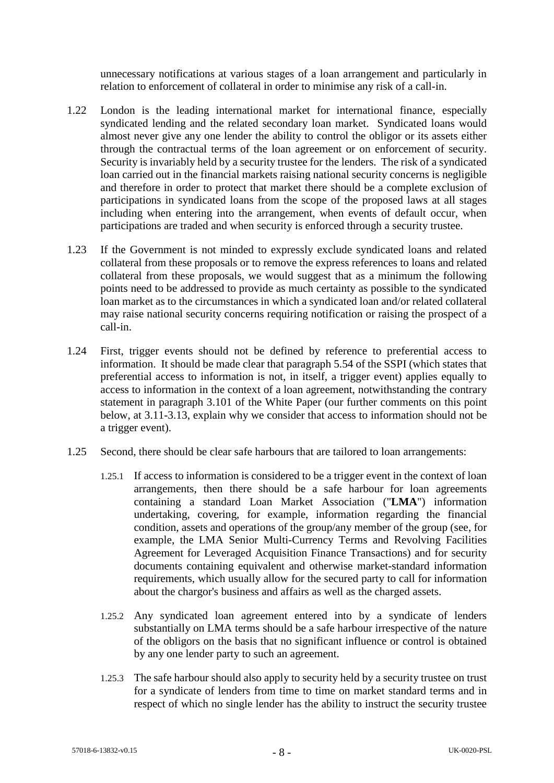unnecessary notifications at various stages of a loan arrangement and particularly in relation to enforcement of collateral in order to minimise any risk of a call-in.

- 1.22 London is the leading international market for international finance, especially syndicated lending and the related secondary loan market. Syndicated loans would almost never give any one lender the ability to control the obligor or its assets either through the contractual terms of the loan agreement or on enforcement of security. Security is invariably held by a security trustee for the lenders. The risk of a syndicated loan carried out in the financial markets raising national security concerns is negligible and therefore in order to protect that market there should be a complete exclusion of participations in syndicated loans from the scope of the proposed laws at all stages including when entering into the arrangement, when events of default occur, when participations are traded and when security is enforced through a security trustee.
- 1.23 If the Government is not minded to expressly exclude syndicated loans and related collateral from these proposals or to remove the express references to loans and related collateral from these proposals, we would suggest that as a minimum the following points need to be addressed to provide as much certainty as possible to the syndicated loan market as to the circumstances in which a syndicated loan and/or related collateral may raise national security concerns requiring notification or raising the prospect of a call-in.
- 1.24 First, trigger events should not be defined by reference to preferential access to information. It should be made clear that paragraph 5.54 of the SSPI (which states that preferential access to information is not, in itself, a trigger event) applies equally to access to information in the context of a loan agreement, notwithstanding the contrary statement in paragraph 3.101 of the White Paper (our further comments on this point below, at [3.11-](#page-13-1)[3.13,](#page-14-0) explain why we consider that access to information should not be a trigger event).
- 1.25 Second, there should be clear safe harbours that are tailored to loan arrangements:
	- 1.25.1 If access to information is considered to be a trigger event in the context of loan arrangements, then there should be a safe harbour for loan agreements containing a standard Loan Market Association ("**LMA**") information undertaking, covering, for example, information regarding the financial condition, assets and operations of the group/any member of the group (see, for example, the LMA Senior Multi-Currency Terms and Revolving Facilities Agreement for Leveraged Acquisition Finance Transactions) and for security documents containing equivalent and otherwise market-standard information requirements, which usually allow for the secured party to call for information about the chargor's business and affairs as well as the charged assets.
	- 1.25.2 Any syndicated loan agreement entered into by a syndicate of lenders substantially on LMA terms should be a safe harbour irrespective of the nature of the obligors on the basis that no significant influence or control is obtained by any one lender party to such an agreement.
	- 1.25.3 The safe harbour should also apply to security held by a security trustee on trust for a syndicate of lenders from time to time on market standard terms and in respect of which no single lender has the ability to instruct the security trustee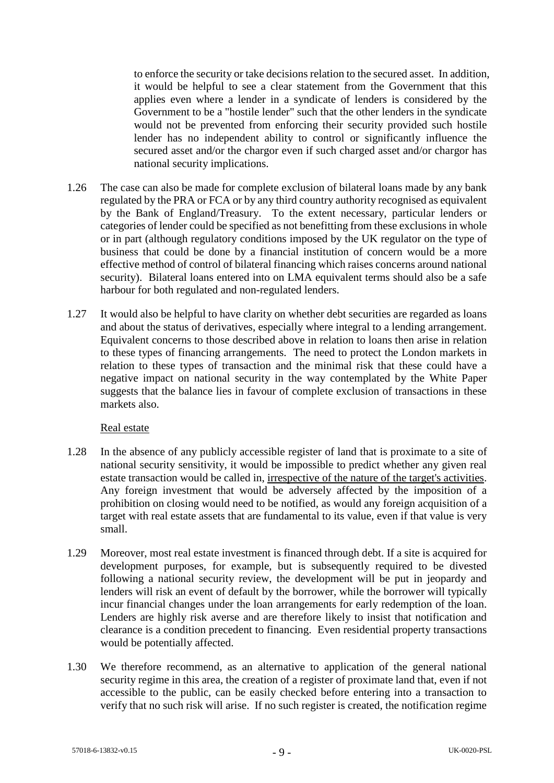to enforce the security or take decisions relation to the secured asset. In addition, it would be helpful to see a clear statement from the Government that this applies even where a lender in a syndicate of lenders is considered by the Government to be a "hostile lender" such that the other lenders in the syndicate would not be prevented from enforcing their security provided such hostile lender has no independent ability to control or significantly influence the secured asset and/or the chargor even if such charged asset and/or chargor has national security implications.

- 1.26 The case can also be made for complete exclusion of bilateral loans made by any bank regulated by the PRA or FCA or by any third country authority recognised as equivalent by the Bank of England/Treasury. To the extent necessary, particular lenders or categories of lender could be specified as not benefitting from these exclusions in whole or in part (although regulatory conditions imposed by the UK regulator on the type of business that could be done by a financial institution of concern would be a more effective method of control of bilateral financing which raises concerns around national security). Bilateral loans entered into on LMA equivalent terms should also be a safe harbour for both regulated and non-regulated lenders.
- 1.27 It would also be helpful to have clarity on whether debt securities are regarded as loans and about the status of derivatives, especially where integral to a lending arrangement. Equivalent concerns to those described above in relation to loans then arise in relation to these types of financing arrangements. The need to protect the London markets in relation to these types of transaction and the minimal risk that these could have a negative impact on national security in the way contemplated by the White Paper suggests that the balance lies in favour of complete exclusion of transactions in these markets also.

#### Real estate

- 1.28 In the absence of any publicly accessible register of land that is proximate to a site of national security sensitivity, it would be impossible to predict whether any given real estate transaction would be called in, irrespective of the nature of the target's activities. Any foreign investment that would be adversely affected by the imposition of a prohibition on closing would need to be notified, as would any foreign acquisition of a target with real estate assets that are fundamental to its value, even if that value is very small.
- 1.29 Moreover, most real estate investment is financed through debt. If a site is acquired for development purposes, for example, but is subsequently required to be divested following a national security review, the development will be put in jeopardy and lenders will risk an event of default by the borrower, while the borrower will typically incur financial changes under the loan arrangements for early redemption of the loan. Lenders are highly risk averse and are therefore likely to insist that notification and clearance is a condition precedent to financing. Even residential property transactions would be potentially affected.
- <span id="page-8-0"></span>1.30 We therefore recommend, as an alternative to application of the general national security regime in this area, the creation of a register of proximate land that, even if not accessible to the public, can be easily checked before entering into a transaction to verify that no such risk will arise. If no such register is created, the notification regime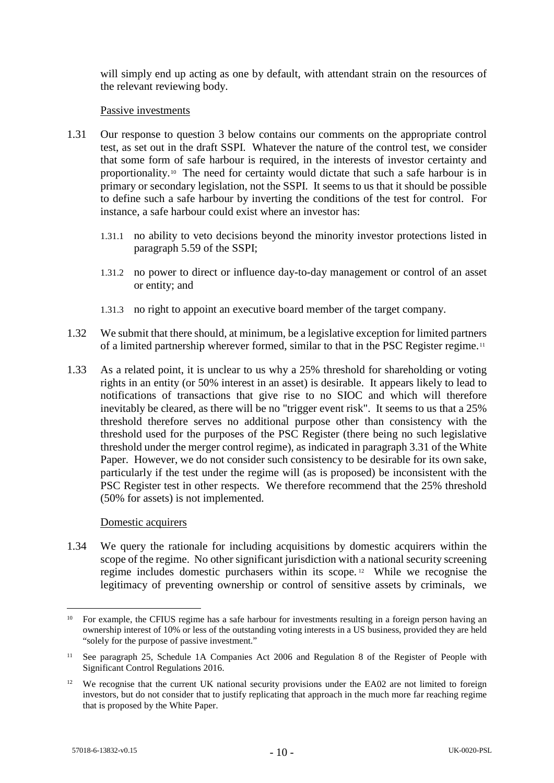will simply end up acting as one by default, with attendant strain on the resources of the relevant reviewing body.

#### Passive investments

- 1.31 Our response to question 3 below contains our comments on the appropriate control test, as set out in the draft SSPI. Whatever the nature of the control test, we consider that some form of safe harbour is required, in the interests of investor certainty and proportionality.[10](#page-9-0) The need for certainty would dictate that such a safe harbour is in primary or secondary legislation, not the SSPI. It seems to us that it should be possible to define such a safe harbour by inverting the conditions of the test for control. For instance, a safe harbour could exist where an investor has:
	- 1.31.1 no ability to veto decisions beyond the minority investor protections listed in paragraph 5.59 of the SSPI;
	- 1.31.2 no power to direct or influence day-to-day management or control of an asset or entity; and
	- 1.31.3 no right to appoint an executive board member of the target company.
- 1.32 We submit that there should, at minimum, be a legislative exception for limited partners of a limited partnership wherever formed, similar to that in the PSC Register regime.[11](#page-9-1)
- 1.33 As a related point, it is unclear to us why a 25% threshold for shareholding or voting rights in an entity (or 50% interest in an asset) is desirable. It appears likely to lead to notifications of transactions that give rise to no SIOC and which will therefore inevitably be cleared, as there will be no "trigger event risk". It seems to us that a 25% threshold therefore serves no additional purpose other than consistency with the threshold used for the purposes of the PSC Register (there being no such legislative threshold under the merger control regime), as indicated in paragraph 3.31 of the White Paper. However, we do not consider such consistency to be desirable for its own sake, particularly if the test under the regime will (as is proposed) be inconsistent with the PSC Register test in other respects. We therefore recommend that the 25% threshold (50% for assets) is not implemented.

#### Domestic acquirers

1.34 We query the rationale for including acquisitions by domestic acquirers within the scope of the regime. No other significant jurisdiction with a national security screening regime includes domestic purchasers within its scope. [12](#page-9-2) While we recognise the legitimacy of preventing ownership or control of sensitive assets by criminals, we

<span id="page-9-0"></span><sup>&</sup>lt;sup>10</sup> For example, the CFIUS regime has a safe harbour for investments resulting in a foreign person having an ownership interest of 10% or less of the outstanding voting interests in a US business, provided they are held "solely for the purpose of passive investment."

<span id="page-9-1"></span><sup>&</sup>lt;sup>11</sup> See paragraph 25, Schedule 1A Companies Act 2006 and Regulation 8 of the Register of People with Significant Control Regulations 2016.

<span id="page-9-2"></span><sup>&</sup>lt;sup>12</sup> We recognise that the current UK national security provisions under the EA02 are not limited to foreign investors, but do not consider that to justify replicating that approach in the much more far reaching regime that is proposed by the White Paper.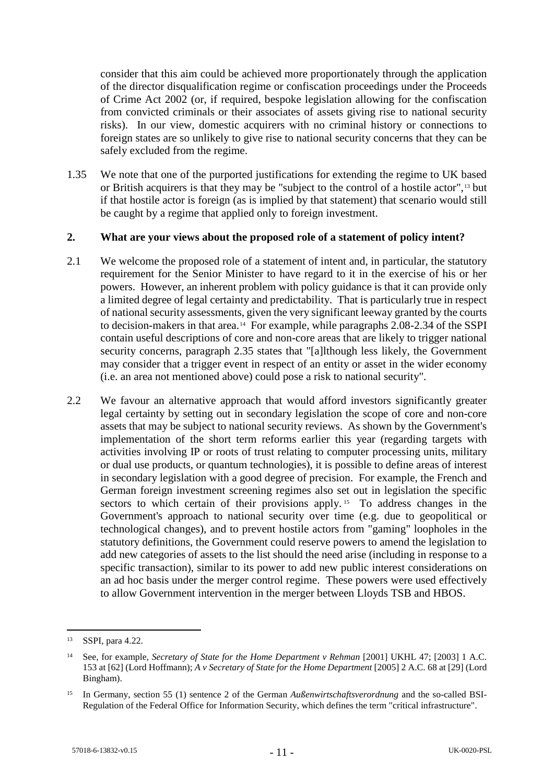consider that this aim could be achieved more proportionately through the application of the director disqualification regime or confiscation proceedings under the Proceeds of Crime Act 2002 (or, if required, bespoke legislation allowing for the confiscation from convicted criminals or their associates of assets giving rise to national security risks). In our view, domestic acquirers with no criminal history or connections to foreign states are so unlikely to give rise to national security concerns that they can be safely excluded from the regime.

1.35 We note that one of the purported justifications for extending the regime to UK based or British acquirers is that they may be "subject to the control of a hostile actor",[13](#page-10-0) but if that hostile actor is foreign (as is implied by that statement) that scenario would still be caught by a regime that applied only to foreign investment.

#### **2. What are your views about the proposed role of a statement of policy intent?**

- <span id="page-10-3"></span>2.1 We welcome the proposed role of a statement of intent and, in particular, the statutory requirement for the Senior Minister to have regard to it in the exercise of his or her powers. However, an inherent problem with policy guidance is that it can provide only a limited degree of legal certainty and predictability. That is particularly true in respect of national security assessments, given the very significant leeway granted by the courts to decision-makers in that area.[14](#page-10-1) For example, while paragraphs 2.08-2.34 of the SSPI contain useful descriptions of core and non-core areas that are likely to trigger national security concerns, paragraph 2.35 states that "[a]lthough less likely, the Government may consider that a trigger event in respect of an entity or asset in the wider economy (i.e. an area not mentioned above) could pose a risk to national security".
- 2.2 We favour an alternative approach that would afford investors significantly greater legal certainty by setting out in secondary legislation the scope of core and non-core assets that may be subject to national security reviews. As shown by the Government's implementation of the short term reforms earlier this year (regarding targets with activities involving IP or roots of trust relating to computer processing units, military or dual use products, or quantum technologies), it is possible to define areas of interest in secondary legislation with a good degree of precision. For example, the French and German foreign investment screening regimes also set out in legislation the specific sectors to which certain of their provisions apply.<sup>[15](#page-10-2)</sup> To address changes in the Government's approach to national security over time (e.g. due to geopolitical or technological changes), and to prevent hostile actors from "gaming" loopholes in the statutory definitions, the Government could reserve powers to amend the legislation to add new categories of assets to the list should the need arise (including in response to a specific transaction), similar to its power to add new public interest considerations on an ad hoc basis under the merger control regime. These powers were used effectively to allow Government intervention in the merger between Lloyds TSB and HBOS.

<span id="page-10-0"></span> <sup>13</sup> SSPI, para 4.22.

<span id="page-10-1"></span><sup>14</sup> See, for example, *Secretary of State for the Home Department v Rehman* [2001] UKHL 47; [2003] 1 A.C. 153 at [62] (Lord Hoffmann); *A v Secretary of State for the Home Department* [2005] 2 A.C. 68 at [29] (Lord Bingham).

<span id="page-10-2"></span><sup>15</sup> In Germany, section 55 (1) sentence 2 of the German *Außenwirtschaftsverordnung* and the so-called BSI-Regulation of the Federal Office for Information Security, which defines the term "critical infrastructure".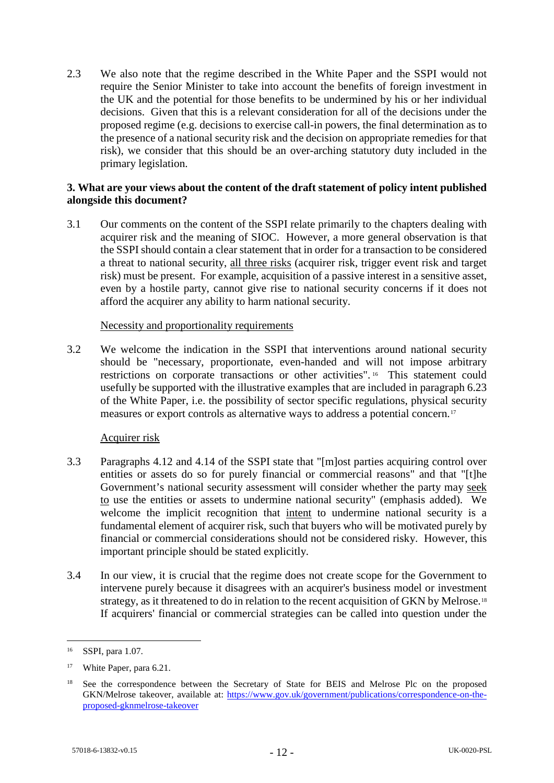2.3 We also note that the regime described in the White Paper and the SSPI would not require the Senior Minister to take into account the benefits of foreign investment in the UK and the potential for those benefits to be undermined by his or her individual decisions. Given that this is a relevant consideration for all of the decisions under the proposed regime (e.g. decisions to exercise call-in powers, the final determination as to the presence of a national security risk and the decision on appropriate remedies for that risk), we consider that this should be an over-arching statutory duty included in the primary legislation.

### **3. What are your views about the content of the draft statement of policy intent published alongside this document?**

3.1 Our comments on the content of the SSPI relate primarily to the chapters dealing with acquirer risk and the meaning of SIOC. However, a more general observation is that the SSPI should contain a clear statement that in order for a transaction to be considered a threat to national security, all three risks (acquirer risk, trigger event risk and target risk) must be present. For example, acquisition of a passive interest in a sensitive asset, even by a hostile party, cannot give rise to national security concerns if it does not afford the acquirer any ability to harm national security.

### Necessity and proportionality requirements

3.2 We welcome the indication in the SSPI that interventions around national security should be "necessary, proportionate, even-handed and will not impose arbitrary restrictions on corporate transactions or other activities". [16](#page-11-0) This statement could usefully be supported with the illustrative examples that are included in paragraph 6.23 of the White Paper, i.e. the possibility of sector specific regulations, physical security measures or export controls as alternative ways to address a potential concern.[17](#page-11-1)

# Acquirer risk

- 3.3 Paragraphs 4.12 and 4.14 of the SSPI state that "[m]ost parties acquiring control over entities or assets do so for purely financial or commercial reasons" and that "[t]he Government's national security assessment will consider whether the party may seek to use the entities or assets to undermine national security" (emphasis added). We welcome the implicit recognition that intent to undermine national security is a fundamental element of acquirer risk, such that buyers who will be motivated purely by financial or commercial considerations should not be considered risky. However, this important principle should be stated explicitly.
- 3.4 In our view, it is crucial that the regime does not create scope for the Government to intervene purely because it disagrees with an acquirer's business model or investment strategy, as it threatened to do in relation to the recent acquisition of GKN by Melrose.<sup>[18](#page-11-2)</sup> If acquirers' financial or commercial strategies can be called into question under the

<span id="page-11-0"></span> <sup>16</sup> SSPI, para 1.07.

<span id="page-11-1"></span><sup>&</sup>lt;sup>17</sup> White Paper, para 6.21.

<span id="page-11-2"></span><sup>&</sup>lt;sup>18</sup> See the correspondence between the Secretary of State for BEIS and Melrose Plc on the proposed GKN/Melrose takeover, available at: [https://www.gov.uk/government/publications/correspondence-on-the](https://www.gov.uk/government/publications/correspondence-on-the-proposed-gknmelrose-takeover)[proposed-gknmelrose-takeover](https://www.gov.uk/government/publications/correspondence-on-the-proposed-gknmelrose-takeover)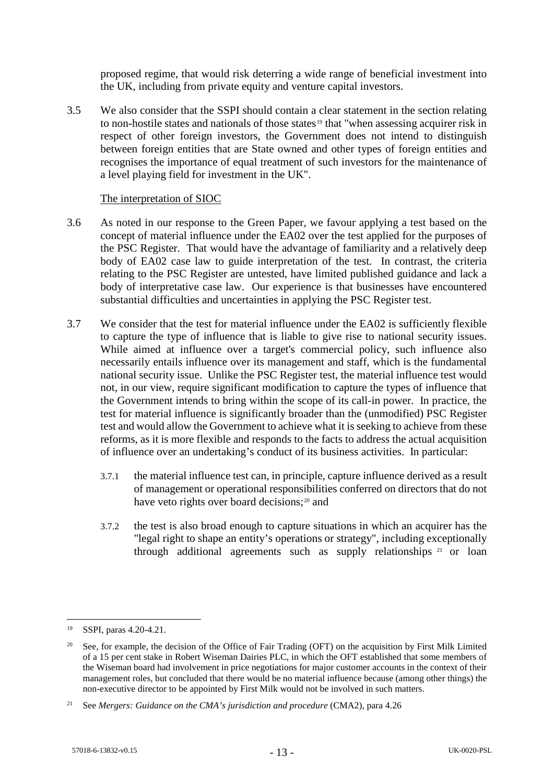proposed regime, that would risk deterring a wide range of beneficial investment into the UK, including from private equity and venture capital investors.

3.5 We also consider that the SSPI should contain a clear statement in the section relating to non-hostile states and nationals of those states<sup>[19](#page-12-1)</sup> that "when assessing acquirer risk in respect of other foreign investors, the Government does not intend to distinguish between foreign entities that are State owned and other types of foreign entities and recognises the importance of equal treatment of such investors for the maintenance of a level playing field for investment in the UK".

#### The interpretation of SIOC

- <span id="page-12-0"></span>3.6 As noted in our response to the Green Paper, we favour applying a test based on the concept of material influence under the EA02 over the test applied for the purposes of the PSC Register. That would have the advantage of familiarity and a relatively deep body of EA02 case law to guide interpretation of the test. In contrast, the criteria relating to the PSC Register are untested, have limited published guidance and lack a body of interpretative case law. Our experience is that businesses have encountered substantial difficulties and uncertainties in applying the PSC Register test.
- 3.7 We consider that the test for material influence under the EA02 is sufficiently flexible to capture the type of influence that is liable to give rise to national security issues. While aimed at influence over a target's commercial policy, such influence also necessarily entails influence over its management and staff, which is the fundamental national security issue. Unlike the PSC Register test, the material influence test would not, in our view, require significant modification to capture the types of influence that the Government intends to bring within the scope of its call-in power. In practice, the test for material influence is significantly broader than the (unmodified) PSC Register test and would allow the Government to achieve what it is seeking to achieve from these reforms, as it is more flexible and responds to the facts to address the actual acquisition of influence over an undertaking's conduct of its business activities. In particular:
	- 3.7.1 the material influence test can, in principle, capture influence derived as a result of management or operational responsibilities conferred on directors that do not have veto rights over board decisions;<sup>[20](#page-12-2)</sup> and
	- 3.7.2 the test is also broad enough to capture situations in which an acquirer has the "legal right to shape an entity's operations or strategy", including exceptionally through additional agreements such as supply relationships [21](#page-12-3) or loan

<span id="page-12-1"></span> <sup>19</sup> SSPI, paras 4.20-4.21.

<span id="page-12-2"></span><sup>&</sup>lt;sup>20</sup> See, for example, the decision of the Office of Fair Trading (OFT) on the acquisition by First Milk Limited of a 15 per cent stake in Robert Wiseman Dairies PLC, in which the OFT established that some members of the Wiseman board had involvement in price negotiations for major customer accounts in the context of their management roles, but concluded that there would be no material influence because (among other things) the non-executive director to be appointed by First Milk would not be involved in such matters.

<span id="page-12-3"></span><sup>&</sup>lt;sup>21</sup> See *Mergers: Guidance on the CMA's jurisdiction and procedure* (CMA2), para 4.26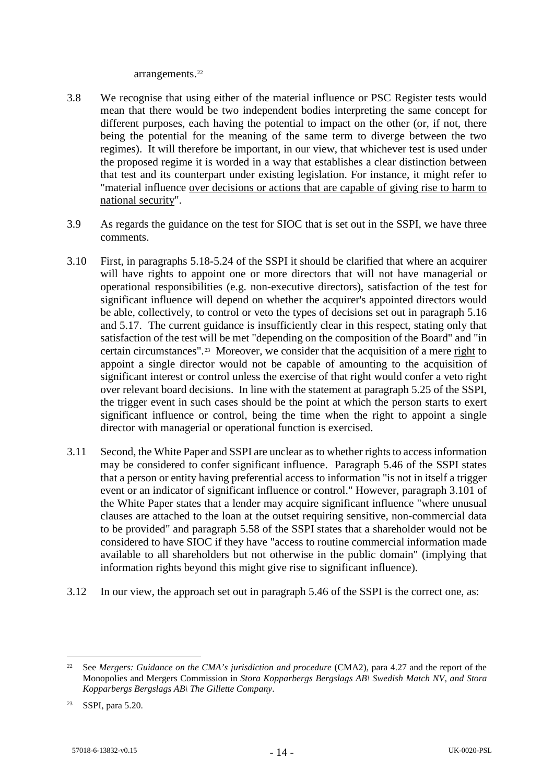arrangements.[22](#page-13-2)

- <span id="page-13-0"></span>3.8 We recognise that using either of the material influence or PSC Register tests would mean that there would be two independent bodies interpreting the same concept for different purposes, each having the potential to impact on the other (or, if not, there being the potential for the meaning of the same term to diverge between the two regimes). It will therefore be important, in our view, that whichever test is used under the proposed regime it is worded in a way that establishes a clear distinction between that test and its counterpart under existing legislation. For instance, it might refer to "material influence over decisions or actions that are capable of giving rise to harm to national security".
- 3.9 As regards the guidance on the test for SIOC that is set out in the SSPI, we have three comments.
- 3.10 First, in paragraphs 5.18-5.24 of the SSPI it should be clarified that where an acquirer will have rights to appoint one or more directors that will not have managerial or operational responsibilities (e.g. non-executive directors), satisfaction of the test for significant influence will depend on whether the acquirer's appointed directors would be able, collectively, to control or veto the types of decisions set out in paragraph 5.16 and 5.17. The current guidance is insufficiently clear in this respect, stating only that satisfaction of the test will be met "depending on the composition of the Board" and "in certain circumstances".[23](#page-13-3) Moreover, we consider that the acquisition of a mere right to appoint a single director would not be capable of amounting to the acquisition of significant interest or control unless the exercise of that right would confer a veto right over relevant board decisions. In line with the statement at paragraph 5.25 of the SSPI, the trigger event in such cases should be the point at which the person starts to exert significant influence or control, being the time when the right to appoint a single director with managerial or operational function is exercised.
- <span id="page-13-1"></span>3.11 Second, the White Paper and SSPI are unclear as to whether rights to access information may be considered to confer significant influence. Paragraph 5.46 of the SSPI states that a person or entity having preferential access to information "is not in itself a trigger event or an indicator of significant influence or control." However, paragraph 3.101 of the White Paper states that a lender may acquire significant influence "where unusual clauses are attached to the loan at the outset requiring sensitive, non-commercial data to be provided" and paragraph 5.58 of the SSPI states that a shareholder would not be considered to have SIOC if they have "access to routine commercial information made available to all shareholders but not otherwise in the public domain" (implying that information rights beyond this might give rise to significant influence).
- 3.12 In our view, the approach set out in paragraph 5.46 of the SSPI is the correct one, as:

<span id="page-13-2"></span><sup>&</sup>lt;sup>22</sup> See *Mergers: Guidance on the CMA's jurisdiction and procedure* (CMA2), para 4.27 and the report of the Monopolies and Mergers Commission in *Stora Kopparbergs Bergslags AB\ Swedish Match NV, and Stora Kopparbergs Bergslags AB\ The Gillette Company*.

<span id="page-13-3"></span><sup>23</sup> SSPI, para 5.20.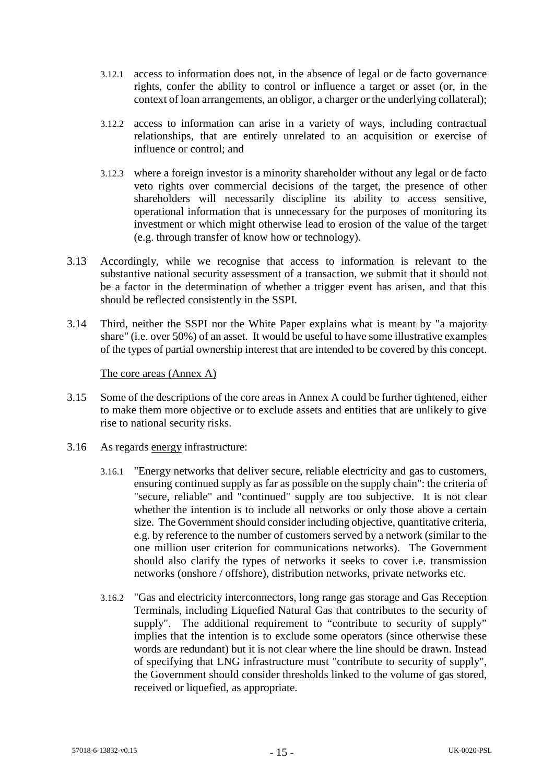- 3.12.1 access to information does not, in the absence of legal or de facto governance rights, confer the ability to control or influence a target or asset (or, in the context of loan arrangements, an obligor, a charger or the underlying collateral);
- 3.12.2 access to information can arise in a variety of ways, including contractual relationships, that are entirely unrelated to an acquisition or exercise of influence or control; and
- 3.12.3 where a foreign investor is a minority shareholder without any legal or de facto veto rights over commercial decisions of the target, the presence of other shareholders will necessarily discipline its ability to access sensitive, operational information that is unnecessary for the purposes of monitoring its investment or which might otherwise lead to erosion of the value of the target (e.g. through transfer of know how or technology).
- <span id="page-14-0"></span>3.13 Accordingly, while we recognise that access to information is relevant to the substantive national security assessment of a transaction, we submit that it should not be a factor in the determination of whether a trigger event has arisen, and that this should be reflected consistently in the SSPI.
- 3.14 Third, neither the SSPI nor the White Paper explains what is meant by "a majority share" (i.e. over 50%) of an asset. It would be useful to have some illustrative examples of the types of partial ownership interest that are intended to be covered by this concept.

The core areas (Annex A)

- 3.15 Some of the descriptions of the core areas in Annex A could be further tightened, either to make them more objective or to exclude assets and entities that are unlikely to give rise to national security risks.
- 3.16 As regards energy infrastructure:
	- 3.16.1 "Energy networks that deliver secure, reliable electricity and gas to customers, ensuring continued supply as far as possible on the supply chain": the criteria of "secure, reliable" and "continued" supply are too subjective. It is not clear whether the intention is to include all networks or only those above a certain size. The Government should consider including objective, quantitative criteria, e.g. by reference to the number of customers served by a network (similar to the one million user criterion for communications networks). The Government should also clarify the types of networks it seeks to cover i.e. transmission networks (onshore / offshore), distribution networks, private networks etc.
	- 3.16.2 "Gas and electricity interconnectors, long range gas storage and Gas Reception Terminals, including Liquefied Natural Gas that contributes to the security of supply". The additional requirement to "contribute to security of supply" implies that the intention is to exclude some operators (since otherwise these words are redundant) but it is not clear where the line should be drawn. Instead of specifying that LNG infrastructure must "contribute to security of supply", the Government should consider thresholds linked to the volume of gas stored, received or liquefied, as appropriate.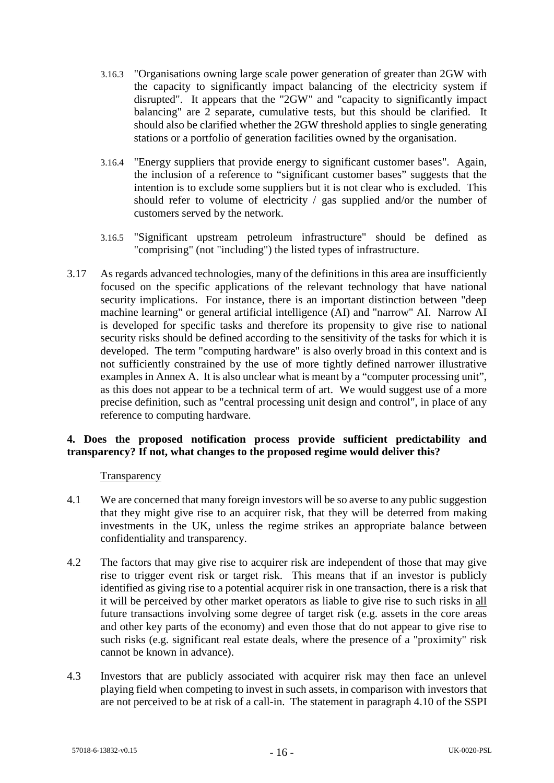- 3.16.3 "Organisations owning large scale power generation of greater than 2GW with the capacity to significantly impact balancing of the electricity system if disrupted". It appears that the "2GW" and "capacity to significantly impact balancing" are 2 separate, cumulative tests, but this should be clarified. It should also be clarified whether the 2GW threshold applies to single generating stations or a portfolio of generation facilities owned by the organisation.
- 3.16.4 "Energy suppliers that provide energy to significant customer bases". Again, the inclusion of a reference to "significant customer bases" suggests that the intention is to exclude some suppliers but it is not clear who is excluded. This should refer to volume of electricity / gas supplied and/or the number of customers served by the network.
- 3.16.5 "Significant upstream petroleum infrastructure" should be defined as "comprising" (not "including") the listed types of infrastructure.
- 3.17 As regards advanced technologies, many of the definitions in this area are insufficiently focused on the specific applications of the relevant technology that have national security implications. For instance, there is an important distinction between "deep machine learning" or general artificial intelligence (AI) and "narrow" AI. Narrow AI is developed for specific tasks and therefore its propensity to give rise to national security risks should be defined according to the sensitivity of the tasks for which it is developed. The term "computing hardware" is also overly broad in this context and is not sufficiently constrained by the use of more tightly defined narrower illustrative examples in Annex A. It is also unclear what is meant by a "computer processing unit", as this does not appear to be a technical term of art. We would suggest use of a more precise definition, such as "central processing unit design and control", in place of any reference to computing hardware.

### **4. Does the proposed notification process provide sufficient predictability and transparency? If not, what changes to the proposed regime would deliver this?**

#### **Transparency**

- <span id="page-15-0"></span>4.1 We are concerned that many foreign investors will be so averse to any public suggestion that they might give rise to an acquirer risk, that they will be deterred from making investments in the UK, unless the regime strikes an appropriate balance between confidentiality and transparency.
- 4.2 The factors that may give rise to acquirer risk are independent of those that may give rise to trigger event risk or target risk. This means that if an investor is publicly identified as giving rise to a potential acquirer risk in one transaction, there is a risk that it will be perceived by other market operators as liable to give rise to such risks in all future transactions involving some degree of target risk (e.g. assets in the core areas and other key parts of the economy) and even those that do not appear to give rise to such risks (e.g. significant real estate deals, where the presence of a "proximity" risk cannot be known in advance).
- 4.3 Investors that are publicly associated with acquirer risk may then face an unlevel playing field when competing to invest in such assets, in comparison with investors that are not perceived to be at risk of a call-in. The statement in paragraph 4.10 of the SSPI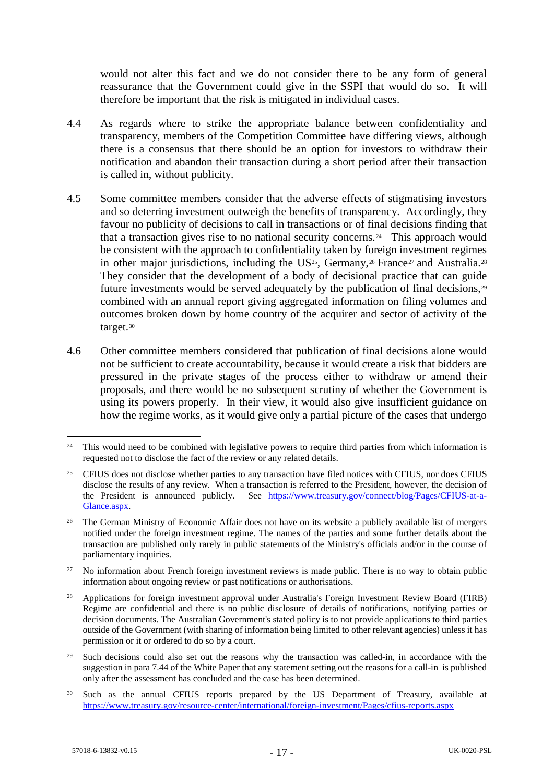would not alter this fact and we do not consider there to be any form of general reassurance that the Government could give in the SSPI that would do so. It will therefore be important that the risk is mitigated in individual cases.

- 4.4 As regards where to strike the appropriate balance between confidentiality and transparency, members of the Competition Committee have differing views, although there is a consensus that there should be an option for investors to withdraw their notification and abandon their transaction during a short period after their transaction is called in, without publicity.
- <span id="page-16-7"></span>4.5 Some committee members consider that the adverse effects of stigmatising investors and so deterring investment outweigh the benefits of transparency. Accordingly, they favour no publicity of decisions to call in transactions or of final decisions finding that that a transaction gives rise to no national security concerns.[24](#page-16-0) This approach would be consistent with the approach to confidentiality taken by foreign investment regimes in other major jurisdictions, including the US<sup>[25](#page-16-1)</sup>, Germany,<sup>[26](#page-16-2)</sup> France<sup>[27](#page-16-3)</sup> and Australia.<sup>[28](#page-16-4)</sup> They consider that the development of a body of decisional practice that can guide future investments would be served adequately by the publication of final decisions,<sup>[29](#page-16-5)</sup> combined with an annual report giving aggregated information on filing volumes and outcomes broken down by home country of the acquirer and sector of activity of the target.[30](#page-16-6)
- 4.6 Other committee members considered that publication of final decisions alone would not be sufficient to create accountability, because it would create a risk that bidders are pressured in the private stages of the process either to withdraw or amend their proposals, and there would be no subsequent scrutiny of whether the Government is using its powers properly. In their view, it would also give insufficient guidance on how the regime works, as it would give only a partial picture of the cases that undergo

<span id="page-16-3"></span><sup>27</sup> No information about French foreign investment reviews is made public. There is no way to obtain public information about ongoing review or past notifications or authorisations.

<span id="page-16-0"></span><sup>&</sup>lt;sup>24</sup> This would need to be combined with legislative powers to require third parties from which information is requested not to disclose the fact of the review or any related details.

<span id="page-16-1"></span><sup>&</sup>lt;sup>25</sup> CFIUS does not disclose whether parties to any transaction have filed notices with CFIUS, nor does CFIUS disclose the results of any review. When a transaction is referred to the President, however, the decision of the President is announced publicly. See [https://www.treasury.gov/connect/blog/Pages/CFIUS-at-a-](https://www.treasury.gov/connect/blog/Pages/CFIUS-at-a-Glance.aspx)[Glance.aspx.](https://www.treasury.gov/connect/blog/Pages/CFIUS-at-a-Glance.aspx)

<span id="page-16-2"></span><sup>&</sup>lt;sup>26</sup> The German Ministry of Economic Affair does not have on its website a publicly available list of mergers notified under the foreign investment regime. The names of the parties and some further details about the transaction are published only rarely in public statements of the Ministry's officials and/or in the course of parliamentary inquiries.

<span id="page-16-4"></span><sup>&</sup>lt;sup>28</sup> Applications for foreign investment approval under Australia's Foreign Investment Review Board (FIRB) Regime are confidential and there is no public disclosure of details of notifications, notifying parties or decision documents. The Australian Government's stated policy is to not provide applications to third parties outside of the Government (with sharing of information being limited to other relevant agencies) unless it has permission or it or ordered to do so by a court.

<span id="page-16-5"></span><sup>&</sup>lt;sup>29</sup> Such decisions could also set out the reasons why the transaction was called-in, in accordance with the suggestion in para 7.44 of the White Paper that any statement setting out the reasons for a call-in is published only after the assessment has concluded and the case has been determined.

<span id="page-16-6"></span><sup>&</sup>lt;sup>30</sup> Such as the annual CFIUS reports prepared by the US Department of Treasury, available at <https://www.treasury.gov/resource-center/international/foreign-investment/Pages/cfius-reports.aspx>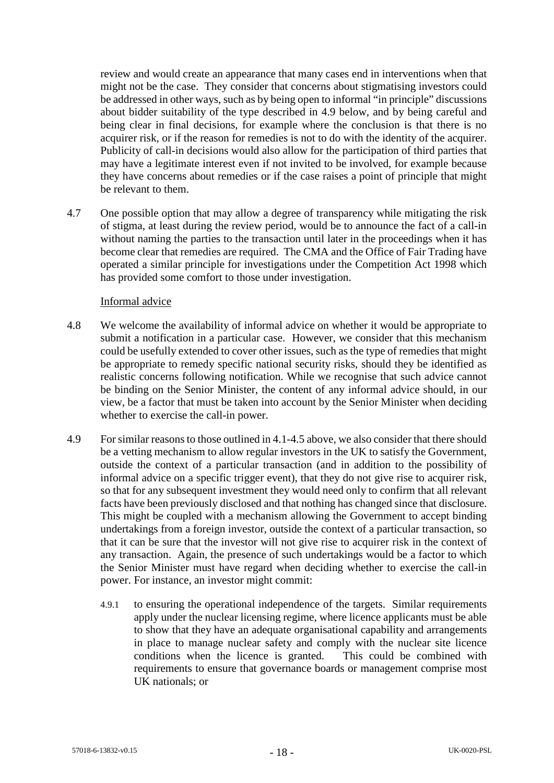review and would create an appearance that many cases end in interventions when that might not be the case. They consider that concerns about stigmatising investors could be addressed in other ways, such as by being open to informal "in principle" discussions about bidder suitability of the type described in [4.9](#page-17-0) below, and by being careful and being clear in final decisions, for example where the conclusion is that there is no acquirer risk, or if the reason for remedies is not to do with the identity of the acquirer. Publicity of call-in decisions would also allow for the participation of third parties that may have a legitimate interest even if not invited to be involved, for example because they have concerns about remedies or if the case raises a point of principle that might be relevant to them.

4.7 One possible option that may allow a degree of transparency while mitigating the risk of stigma, at least during the review period, would be to announce the fact of a call-in without naming the parties to the transaction until later in the proceedings when it has become clear that remedies are required. The CMA and the Office of Fair Trading have operated a similar principle for investigations under the Competition Act 1998 which has provided some comfort to those under investigation.

#### Informal advice

- 4.8 We welcome the availability of informal advice on whether it would be appropriate to submit a notification in a particular case. However, we consider that this mechanism could be usefully extended to cover other issues, such as the type of remedies that might be appropriate to remedy specific national security risks, should they be identified as realistic concerns following notification. While we recognise that such advice cannot be binding on the Senior Minister, the content of any informal advice should, in our view, be a factor that must be taken into account by the Senior Minister when deciding whether to exercise the call-in power.
- <span id="page-17-0"></span>4.9 For similar reasons to those outlined i[n 4.1-](#page-15-0)[4.5](#page-16-7) above, we also consider that there should be a vetting mechanism to allow regular investors in the UK to satisfy the Government, outside the context of a particular transaction (and in addition to the possibility of informal advice on a specific trigger event), that they do not give rise to acquirer risk, so that for any subsequent investment they would need only to confirm that all relevant facts have been previously disclosed and that nothing has changed since that disclosure. This might be coupled with a mechanism allowing the Government to accept binding undertakings from a foreign investor, outside the context of a particular transaction, so that it can be sure that the investor will not give rise to acquirer risk in the context of any transaction. Again, the presence of such undertakings would be a factor to which the Senior Minister must have regard when deciding whether to exercise the call-in power. For instance, an investor might commit:
	- 4.9.1 to ensuring the operational independence of the targets. Similar requirements apply under the nuclear licensing regime, where licence applicants must be able to show that they have an adequate organisational capability and arrangements in place to manage nuclear safety and comply with the nuclear site licence conditions when the licence is granted. This could be combined with requirements to ensure that governance boards or management comprise most UK nationals; or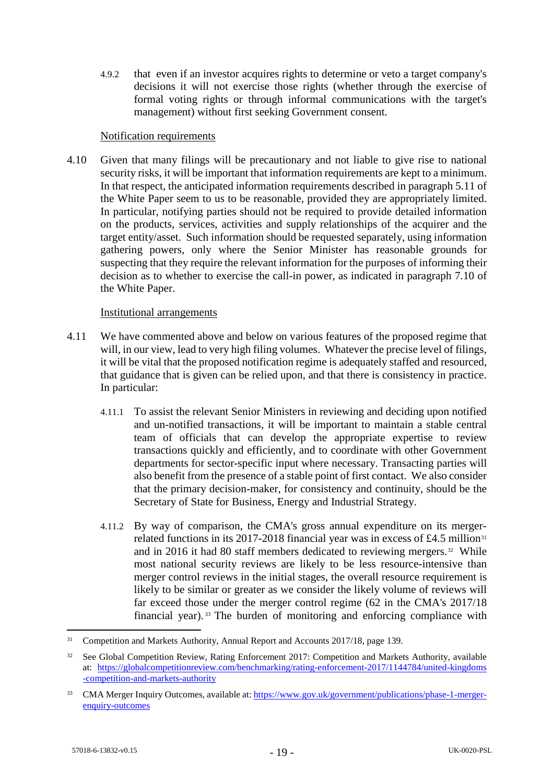4.9.2 that even if an investor acquires rights to determine or veto a target company's decisions it will not exercise those rights (whether through the exercise of formal voting rights or through informal communications with the target's management) without first seeking Government consent.

#### Notification requirements

4.10 Given that many filings will be precautionary and not liable to give rise to national security risks, it will be important that information requirements are kept to a minimum. In that respect, the anticipated information requirements described in paragraph 5.11 of the White Paper seem to us to be reasonable, provided they are appropriately limited. In particular, notifying parties should not be required to provide detailed information on the products, services, activities and supply relationships of the acquirer and the target entity/asset. Such information should be requested separately, using information gathering powers, only where the Senior Minister has reasonable grounds for suspecting that they require the relevant information for the purposes of informing their decision as to whether to exercise the call-in power, as indicated in paragraph 7.10 of the White Paper.

#### Institutional arrangements

- 4.11 We have commented above and below on various features of the proposed regime that will, in our view, lead to very high filing volumes. Whatever the precise level of filings, it will be vital that the proposed notification regime is adequately staffed and resourced, that guidance that is given can be relied upon, and that there is consistency in practice. In particular:
	- 4.11.1 To assist the relevant Senior Ministers in reviewing and deciding upon notified and un-notified transactions, it will be important to maintain a stable central team of officials that can develop the appropriate expertise to review transactions quickly and efficiently, and to coordinate with other Government departments for sector-specific input where necessary. Transacting parties will also benefit from the presence of a stable point of first contact. We also consider that the primary decision-maker, for consistency and continuity, should be the Secretary of State for Business, Energy and Industrial Strategy.
	- 4.11.2 By way of comparison, the CMA's gross annual expenditure on its merger-related functions in its 2017-2018 financial year was in excess of £4.5 million<sup>[31](#page-18-0)</sup> and in 2016 it had 80 staff members dedicated to reviewing mergers.<sup>[32](#page-18-1)</sup> While most national security reviews are likely to be less resource-intensive than merger control reviews in the initial stages, the overall resource requirement is likely to be similar or greater as we consider the likely volume of reviews will far exceed those under the merger control regime (62 in the CMA's 2017/18 financial year). [33](#page-18-2) The burden of monitoring and enforcing compliance with

<span id="page-18-0"></span><sup>&</sup>lt;sup>31</sup> Competition and Markets Authority, Annual Report and Accounts 2017/18, page 139.

<span id="page-18-1"></span><sup>&</sup>lt;sup>32</sup> See Global Competition Review, Rating Enforcement 2017: Competition and Markets Authority, available at: [https://globalcompetitionreview.com/benchmarking/rating-enforcement-2017/1144784/united-kingdoms](https://globalcompetitionreview.com/benchmarking/rating-enforcement-2017/1144784/united-kingdoms-competition-and-markets-authority) [-competition-and-markets-authority](https://globalcompetitionreview.com/benchmarking/rating-enforcement-2017/1144784/united-kingdoms-competition-and-markets-authority)

<span id="page-18-2"></span><sup>33</sup> CMA Merger Inquiry Outcomes, available at: [https://www.gov.uk/government/publications/phase-1-merger](https://www.gov.uk/government/publications/phase-1-merger-enquiry-outcomes)[enquiry-outcomes](https://www.gov.uk/government/publications/phase-1-merger-enquiry-outcomes)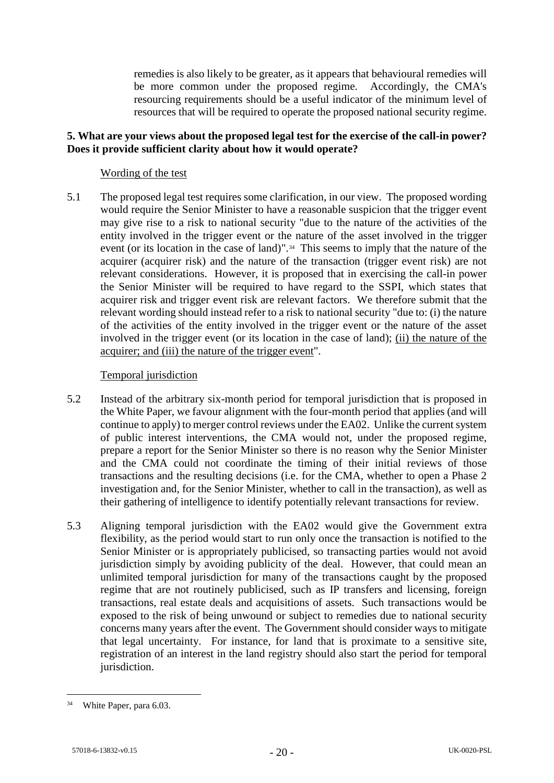remedies is also likely to be greater, as it appears that behavioural remedies will be more common under the proposed regime. Accordingly, the CMA's resourcing requirements should be a useful indicator of the minimum level of resources that will be required to operate the proposed national security regime.

### **5. What are your views about the proposed legal test for the exercise of the call-in power? Does it provide sufficient clarity about how it would operate?**

### Wording of the test

5.1 The proposed legal test requires some clarification, in our view. The proposed wording would require the Senior Minister to have a reasonable suspicion that the trigger event may give rise to a risk to national security "due to the nature of the activities of the entity involved in the trigger event or the nature of the asset involved in the trigger event (or its location in the case of land)".[34](#page-19-0) This seems to imply that the nature of the acquirer (acquirer risk) and the nature of the transaction (trigger event risk) are not relevant considerations. However, it is proposed that in exercising the call-in power the Senior Minister will be required to have regard to the SSPI, which states that acquirer risk and trigger event risk are relevant factors. We therefore submit that the relevant wording should instead refer to a risk to national security "due to: (i) the nature of the activities of the entity involved in the trigger event or the nature of the asset involved in the trigger event (or its location in the case of land); (ii) the nature of the acquirer; and (iii) the nature of the trigger event".

### Temporal jurisdiction

- 5.2 Instead of the arbitrary six-month period for temporal jurisdiction that is proposed in the White Paper, we favour alignment with the four-month period that applies (and will continue to apply) to merger control reviews under the EA02. Unlike the current system of public interest interventions, the CMA would not, under the proposed regime, prepare a report for the Senior Minister so there is no reason why the Senior Minister and the CMA could not coordinate the timing of their initial reviews of those transactions and the resulting decisions (i.e. for the CMA, whether to open a Phase 2 investigation and, for the Senior Minister, whether to call in the transaction), as well as their gathering of intelligence to identify potentially relevant transactions for review.
- 5.3 Aligning temporal jurisdiction with the EA02 would give the Government extra flexibility, as the period would start to run only once the transaction is notified to the Senior Minister or is appropriately publicised, so transacting parties would not avoid jurisdiction simply by avoiding publicity of the deal. However, that could mean an unlimited temporal jurisdiction for many of the transactions caught by the proposed regime that are not routinely publicised, such as IP transfers and licensing, foreign transactions, real estate deals and acquisitions of assets. Such transactions would be exposed to the risk of being unwound or subject to remedies due to national security concerns many years after the event. The Government should consider ways to mitigate that legal uncertainty. For instance, for land that is proximate to a sensitive site, registration of an interest in the land registry should also start the period for temporal jurisdiction.

<span id="page-19-0"></span> <sup>34</sup> White Paper, para 6.03.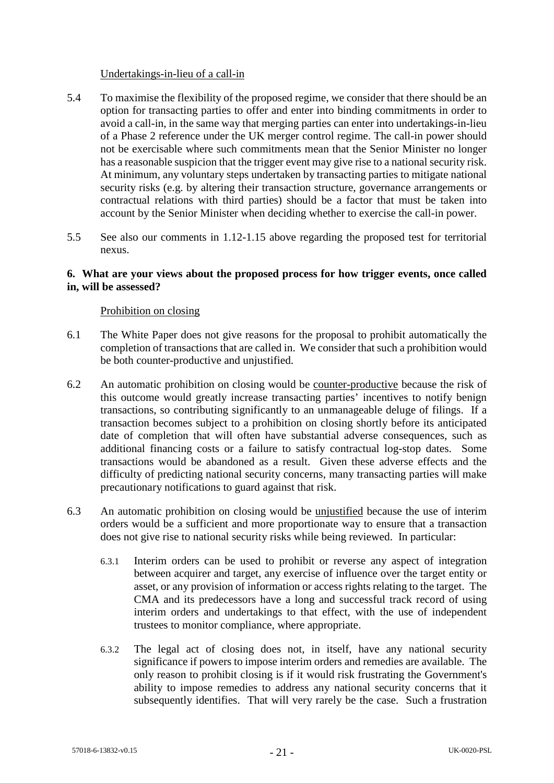#### Undertakings-in-lieu of a call-in

- 5.4 To maximise the flexibility of the proposed regime, we consider that there should be an option for transacting parties to offer and enter into binding commitments in order to avoid a call-in, in the same way that merging parties can enter into undertakings-in-lieu of a Phase 2 reference under the UK merger control regime. The call-in power should not be exercisable where such commitments mean that the Senior Minister no longer has a reasonable suspicion that the trigger event may give rise to a national security risk. At minimum, any voluntary steps undertaken by transacting parties to mitigate national security risks (e.g. by altering their transaction structure, governance arrangements or contractual relations with third parties) should be a factor that must be taken into account by the Senior Minister when deciding whether to exercise the call-in power.
- 5.5 See also our comments in [1.12](#page-4-0)[-1.15](#page-5-0) above regarding the proposed test for territorial nexus.

### **6. What are your views about the proposed process for how trigger events, once called in, will be assessed?**

#### Prohibition on closing

- 6.1 The White Paper does not give reasons for the proposal to prohibit automatically the completion of transactions that are called in. We consider that such a prohibition would be both counter-productive and unjustified.
- 6.2 An automatic prohibition on closing would be counter-productive because the risk of this outcome would greatly increase transacting parties' incentives to notify benign transactions, so contributing significantly to an unmanageable deluge of filings. If a transaction becomes subject to a prohibition on closing shortly before its anticipated date of completion that will often have substantial adverse consequences, such as additional financing costs or a failure to satisfy contractual log-stop dates. Some transactions would be abandoned as a result. Given these adverse effects and the difficulty of predicting national security concerns, many transacting parties will make precautionary notifications to guard against that risk.
- 6.3 An automatic prohibition on closing would be unjustified because the use of interim orders would be a sufficient and more proportionate way to ensure that a transaction does not give rise to national security risks while being reviewed. In particular:
	- 6.3.1 Interim orders can be used to prohibit or reverse any aspect of integration between acquirer and target, any exercise of influence over the target entity or asset, or any provision of information or access rights relating to the target. The CMA and its predecessors have a long and successful track record of using interim orders and undertakings to that effect, with the use of independent trustees to monitor compliance, where appropriate.
	- 6.3.2 The legal act of closing does not, in itself, have any national security significance if powers to impose interim orders and remedies are available. The only reason to prohibit closing is if it would risk frustrating the Government's ability to impose remedies to address any national security concerns that it subsequently identifies. That will very rarely be the case. Such a frustration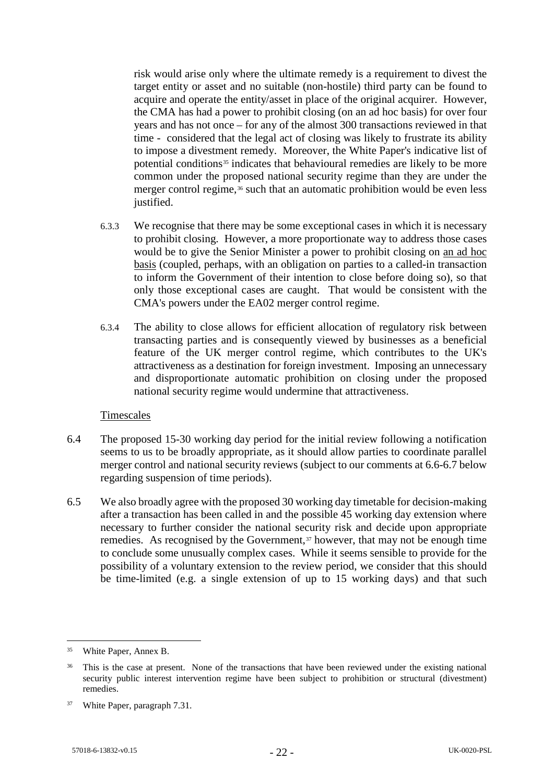risk would arise only where the ultimate remedy is a requirement to divest the target entity or asset and no suitable (non-hostile) third party can be found to acquire and operate the entity/asset in place of the original acquirer. However, the CMA has had a power to prohibit closing (on an ad hoc basis) for over four years and has not once – for any of the almost 300 transactions reviewed in that time - considered that the legal act of closing was likely to frustrate its ability to impose a divestment remedy. Moreover, the White Paper's indicative list of potential conditions<sup>[35](#page-21-0)</sup> indicates that behavioural remedies are likely to be more common under the proposed national security regime than they are under the merger control regime,<sup>[36](#page-21-1)</sup> such that an automatic prohibition would be even less justified.

- 6.3.3 We recognise that there may be some exceptional cases in which it is necessary to prohibit closing. However, a more proportionate way to address those cases would be to give the Senior Minister a power to prohibit closing on an ad hoc basis (coupled, perhaps, with an obligation on parties to a called-in transaction to inform the Government of their intention to close before doing so), so that only those exceptional cases are caught. That would be consistent with the CMA's powers under the EA02 merger control regime.
- 6.3.4 The ability to close allows for efficient allocation of regulatory risk between transacting parties and is consequently viewed by businesses as a beneficial feature of the UK merger control regime, which contributes to the UK's attractiveness as a destination for foreign investment. Imposing an unnecessary and disproportionate automatic prohibition on closing under the proposed national security regime would undermine that attractiveness.

#### Timescales

- 6.4 The proposed 15-30 working day period for the initial review following a notification seems to us to be broadly appropriate, as it should allow parties to coordinate parallel merger control and national security reviews (subject to our comments at [6.6-](#page-22-0)[6.7](#page-22-1) below regarding suspension of time periods).
- 6.5 We also broadly agree with the proposed 30 working day timetable for decision-making after a transaction has been called in and the possible 45 working day extension where necessary to further consider the national security risk and decide upon appropriate remedies. As recognised by the Government, $37$  however, that may not be enough time to conclude some unusually complex cases. While it seems sensible to provide for the possibility of a voluntary extension to the review period, we consider that this should be time-limited (e.g. a single extension of up to 15 working days) and that such

<span id="page-21-0"></span> <sup>35</sup> White Paper, Annex B.

<span id="page-21-1"></span><sup>&</sup>lt;sup>36</sup> This is the case at present. None of the transactions that have been reviewed under the existing national security public interest intervention regime have been subject to prohibition or structural (divestment) remedies.

<span id="page-21-2"></span><sup>37</sup> White Paper, paragraph 7.31.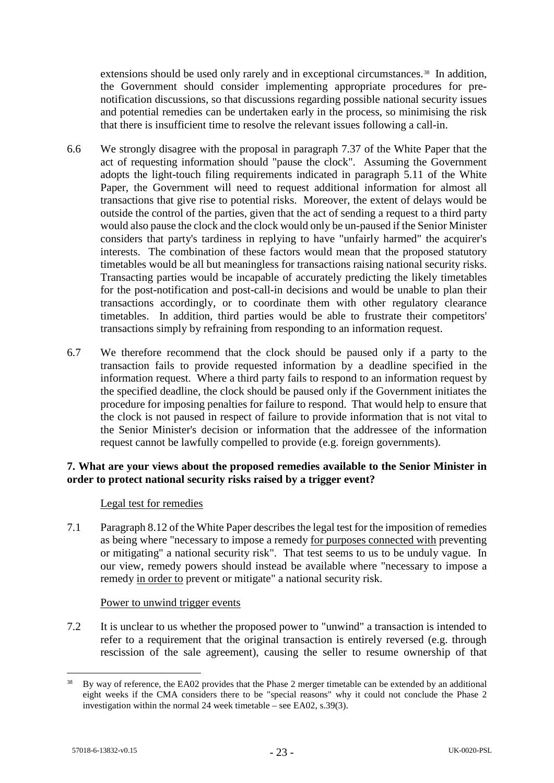extensions should be used only rarely and in exceptional circumstances.<sup>38</sup> In addition, the Government should consider implementing appropriate procedures for prenotification discussions, so that discussions regarding possible national security issues and potential remedies can be undertaken early in the process, so minimising the risk that there is insufficient time to resolve the relevant issues following a call-in.

- <span id="page-22-0"></span>6.6 We strongly disagree with the proposal in paragraph 7.37 of the White Paper that the act of requesting information should "pause the clock". Assuming the Government adopts the light-touch filing requirements indicated in paragraph 5.11 of the White Paper, the Government will need to request additional information for almost all transactions that give rise to potential risks. Moreover, the extent of delays would be outside the control of the parties, given that the act of sending a request to a third party would also pause the clock and the clock would only be un-paused if the Senior Minister considers that party's tardiness in replying to have "unfairly harmed" the acquirer's interests. The combination of these factors would mean that the proposed statutory timetables would be all but meaningless for transactions raising national security risks. Transacting parties would be incapable of accurately predicting the likely timetables for the post-notification and post-call-in decisions and would be unable to plan their transactions accordingly, or to coordinate them with other regulatory clearance timetables. In addition, third parties would be able to frustrate their competitors' transactions simply by refraining from responding to an information request.
- <span id="page-22-1"></span>6.7 We therefore recommend that the clock should be paused only if a party to the transaction fails to provide requested information by a deadline specified in the information request. Where a third party fails to respond to an information request by the specified deadline, the clock should be paused only if the Government initiates the procedure for imposing penalties for failure to respond. That would help to ensure that the clock is not paused in respect of failure to provide information that is not vital to the Senior Minister's decision or information that the addressee of the information request cannot be lawfully compelled to provide (e.g. foreign governments).

# **7. What are your views about the proposed remedies available to the Senior Minister in order to protect national security risks raised by a trigger event?**

# Legal test for remedies

7.1 Paragraph 8.12 of the White Paper describes the legal test for the imposition of remedies as being where "necessary to impose a remedy for purposes connected with preventing or mitigating" a national security risk". That test seems to us to be unduly vague. In our view, remedy powers should instead be available where "necessary to impose a remedy in order to prevent or mitigate" a national security risk.

#### Power to unwind trigger events

7.2 It is unclear to us whether the proposed power to "unwind" a transaction is intended to refer to a requirement that the original transaction is entirely reversed (e.g. through rescission of the sale agreement), causing the seller to resume ownership of that

<span id="page-22-2"></span><sup>&</sup>lt;sup>38</sup> By way of reference, the EA02 provides that the Phase 2 merger timetable can be extended by an additional eight weeks if the CMA considers there to be "special reasons" why it could not conclude the Phase 2 investigation within the normal 24 week timetable – see EA02, s.39(3).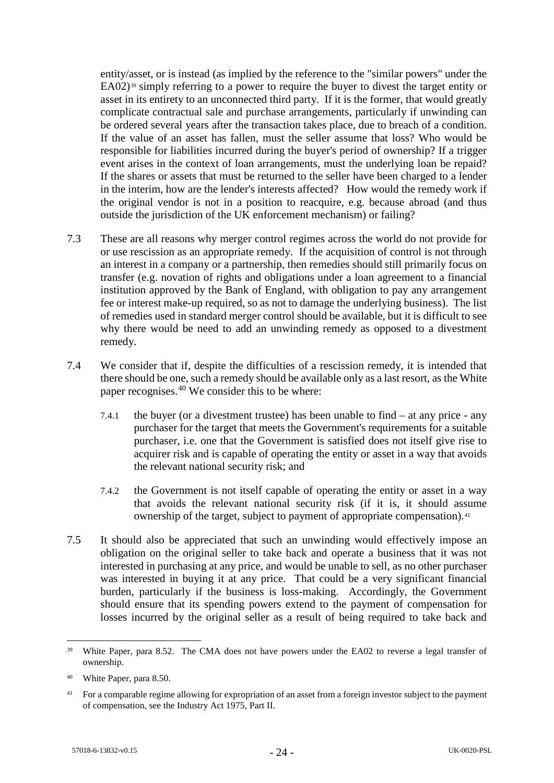entity/asset, or is instead (as implied by the reference to the "similar powers" under the EA02)<sup>[39](#page-23-0)</sup> simply referring to a power to require the buyer to divest the target entity or asset in its entirety to an unconnected third party. If it is the former, that would greatly complicate contractual sale and purchase arrangements, particularly if unwinding can be ordered several years after the transaction takes place, due to breach of a condition. If the value of an asset has fallen, must the seller assume that loss? Who would be responsible for liabilities incurred during the buyer's period of ownership? If a trigger event arises in the context of loan arrangements, must the underlying loan be repaid? If the shares or assets that must be returned to the seller have been charged to a lender in the interim, how are the lender's interests affected? How would the remedy work if the original vendor is not in a position to reacquire, e.g. because abroad (and thus outside the jurisdiction of the UK enforcement mechanism) or failing?

- 7.3 These are all reasons why merger control regimes across the world do not provide for or use rescission as an appropriate remedy. If the acquisition of control is not through an interest in a company or a partnership, then remedies should still primarily focus on transfer (e.g. novation of rights and obligations under a loan agreement to a financial institution approved by the Bank of England, with obligation to pay any arrangement fee or interest make-up required, so as not to damage the underlying business). The list of remedies used in standard merger control should be available, but it is difficult to see why there would be need to add an unwinding remedy as opposed to a divestment remedy.
- 7.4 We consider that if, despite the difficulties of a rescission remedy, it is intended that there should be one, such a remedy should be available only as a last resort, as the White paper recognises.<sup>[40](#page-23-1)</sup> We consider this to be where:
	- 7.4.1 the buyer (or a divestment trustee) has been unable to find at any price any purchaser for the target that meets the Government's requirements for a suitable purchaser, i.e. one that the Government is satisfied does not itself give rise to acquirer risk and is capable of operating the entity or asset in a way that avoids the relevant national security risk; and
	- 7.4.2 the Government is not itself capable of operating the entity or asset in a way that avoids the relevant national security risk (if it is, it should assume ownership of the target, subject to payment of appropriate compensation).[41](#page-23-2)
- 7.5 It should also be appreciated that such an unwinding would effectively impose an obligation on the original seller to take back and operate a business that it was not interested in purchasing at any price, and would be unable to sell, as no other purchaser was interested in buying it at any price. That could be a very significant financial burden, particularly if the business is loss-making. Accordingly, the Government should ensure that its spending powers extend to the payment of compensation for losses incurred by the original seller as a result of being required to take back and

<span id="page-23-0"></span><sup>&</sup>lt;sup>39</sup> White Paper, para 8.52. The CMA does not have powers under the EA02 to reverse a legal transfer of ownership.

<span id="page-23-1"></span><sup>40</sup> White Paper, para 8.50.

<span id="page-23-2"></span><sup>&</sup>lt;sup>41</sup> For a comparable regime allowing for expropriation of an asset from a foreign investor subject to the payment of compensation, see the Industry Act 1975, Part II.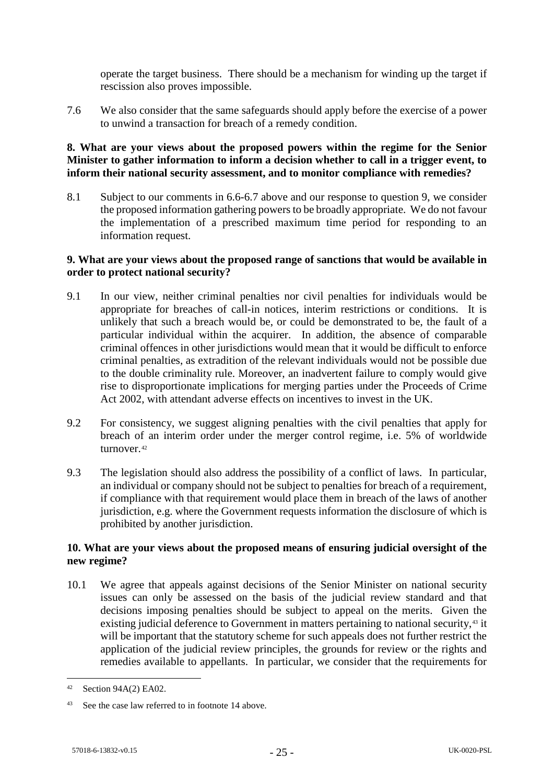operate the target business. There should be a mechanism for winding up the target if rescission also proves impossible.

7.6 We also consider that the same safeguards should apply before the exercise of a power to unwind a transaction for breach of a remedy condition.

## **8. What are your views about the proposed powers within the regime for the Senior Minister to gather information to inform a decision whether to call in a trigger event, to inform their national security assessment, and to monitor compliance with remedies?**

8.1 Subject to our comments in [6.6](#page-22-0)[-6.7](#page-22-1) above and our response to question 9, we consider the proposed information gathering powers to be broadly appropriate. We do not favour the implementation of a prescribed maximum time period for responding to an information request.

## **9. What are your views about the proposed range of sanctions that would be available in order to protect national security?**

- 9.1 In our view, neither criminal penalties nor civil penalties for individuals would be appropriate for breaches of call-in notices, interim restrictions or conditions. It is unlikely that such a breach would be, or could be demonstrated to be, the fault of a particular individual within the acquirer. In addition, the absence of comparable criminal offences in other jurisdictions would mean that it would be difficult to enforce criminal penalties, as extradition of the relevant individuals would not be possible due to the double criminality rule. Moreover, an inadvertent failure to comply would give rise to disproportionate implications for merging parties under the Proceeds of Crime Act 2002, with attendant adverse effects on incentives to invest in the UK.
- 9.2 For consistency, we suggest aligning penalties with the civil penalties that apply for breach of an interim order under the merger control regime, i.e. 5% of worldwide turnover.<sup>[42](#page-24-0)</sup>
- 9.3 The legislation should also address the possibility of a conflict of laws. In particular, an individual or company should not be subject to penalties for breach of a requirement, if compliance with that requirement would place them in breach of the laws of another jurisdiction, e.g. where the Government requests information the disclosure of which is prohibited by another jurisdiction.

# **10. What are your views about the proposed means of ensuring judicial oversight of the new regime?**

10.1 We agree that appeals against decisions of the Senior Minister on national security issues can only be assessed on the basis of the judicial review standard and that decisions imposing penalties should be subject to appeal on the merits. Given the existing judicial deference to Government in matters pertaining to national security,<sup>[43](#page-24-1)</sup> it will be important that the statutory scheme for such appeals does not further restrict the application of the judicial review principles, the grounds for review or the rights and remedies available to appellants. In particular, we consider that the requirements for

<span id="page-24-0"></span> <sup>42</sup> Section 94A(2) EA02.

<span id="page-24-1"></span><sup>43</sup> See the case law referred to in footnote [14](#page-10-3) above.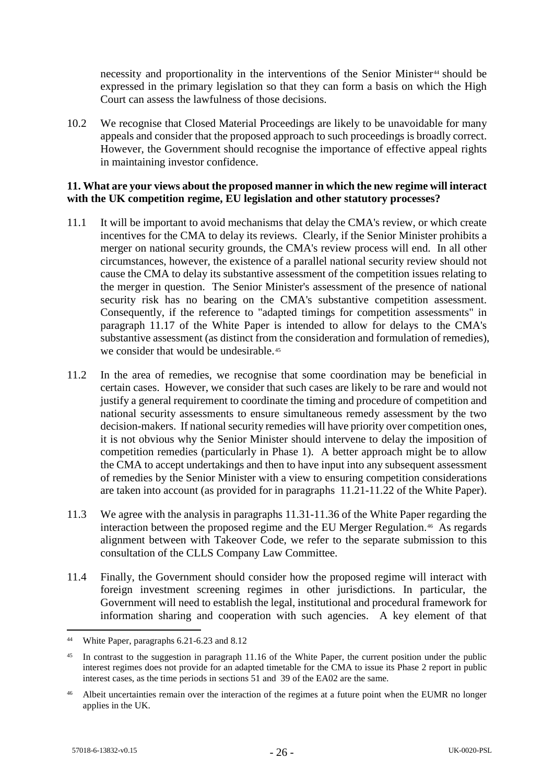necessity and proportionality in the interventions of the Senior Minister<sup>[44](#page-25-0)</sup> should be expressed in the primary legislation so that they can form a basis on which the High Court can assess the lawfulness of those decisions.

10.2 We recognise that Closed Material Proceedings are likely to be unavoidable for many appeals and consider that the proposed approach to such proceedings is broadly correct. However, the Government should recognise the importance of effective appeal rights in maintaining investor confidence.

#### **11. What are your views about the proposed manner in which the new regime will interact with the UK competition regime, EU legislation and other statutory processes?**

- 11.1 It will be important to avoid mechanisms that delay the CMA's review, or which create incentives for the CMA to delay its reviews. Clearly, if the Senior Minister prohibits a merger on national security grounds, the CMA's review process will end. In all other circumstances, however, the existence of a parallel national security review should not cause the CMA to delay its substantive assessment of the competition issues relating to the merger in question. The Senior Minister's assessment of the presence of national security risk has no bearing on the CMA's substantive competition assessment. Consequently, if the reference to "adapted timings for competition assessments" in paragraph 11.17 of the White Paper is intended to allow for delays to the CMA's substantive assessment (as distinct from the consideration and formulation of remedies), we consider that would be undesirable.<sup>45</sup>
- 11.2 In the area of remedies, we recognise that some coordination may be beneficial in certain cases. However, we consider that such cases are likely to be rare and would not justify a general requirement to coordinate the timing and procedure of competition and national security assessments to ensure simultaneous remedy assessment by the two decision-makers. If national security remedies will have priority over competition ones, it is not obvious why the Senior Minister should intervene to delay the imposition of competition remedies (particularly in Phase 1). A better approach might be to allow the CMA to accept undertakings and then to have input into any subsequent assessment of remedies by the Senior Minister with a view to ensuring competition considerations are taken into account (as provided for in paragraphs 11.21-11.22 of the White Paper).
- 11.3 We agree with the analysis in paragraphs 11.31-11.36 of the White Paper regarding the interaction between the proposed regime and the EU Merger Regulation.[46](#page-25-2) As regards alignment between with Takeover Code, we refer to the separate submission to this consultation of the CLLS Company Law Committee.
- 11.4 Finally, the Government should consider how the proposed regime will interact with foreign investment screening regimes in other jurisdictions. In particular, the Government will need to establish the legal, institutional and procedural framework for information sharing and cooperation with such agencies. A key element of that

<span id="page-25-0"></span> <sup>44</sup> White Paper, paragraphs 6.21-6.23 and 8.12

<span id="page-25-1"></span><sup>&</sup>lt;sup>45</sup> In contrast to the suggestion in paragraph 11.16 of the White Paper, the current position under the public interest regimes does not provide for an adapted timetable for the CMA to issue its Phase 2 report in public interest cases, as the time periods in sections 51 and 39 of the EA02 are the same.

<span id="page-25-2"></span><sup>46</sup> Albeit uncertainties remain over the interaction of the regimes at a future point when the EUMR no longer applies in the UK.